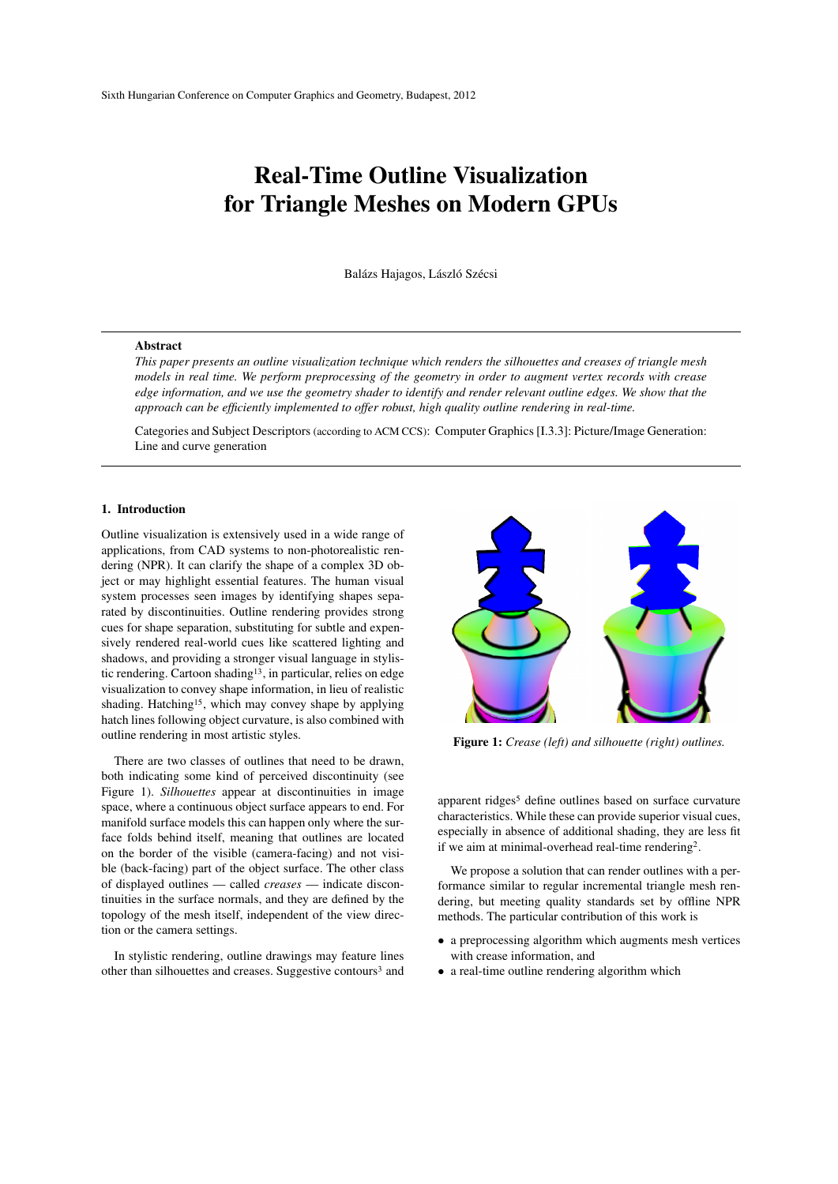# Real-Time Outline Visualization for Triangle Meshes on Modern GPUs

Balázs Hajagos, László Szécsi

### Abstract

*This paper presents an outline visualization technique which renders the silhouettes and creases of triangle mesh models in real time. We perform preprocessing of the geometry in order to augment vertex records with crease edge information, and we use the geometry shader to identify and render relevant outline edges. We show that the approach can be efficiently implemented to offer robust, high quality outline rendering in real-time.*

Categories and Subject Descriptors (according to ACM CCS): Computer Graphics [I.3.3]: Picture/Image Generation: Line and curve generation

# 1. Introduction

Outline visualization is extensively used in a wide range of applications, from CAD systems to non-photorealistic rendering (NPR). It can clarify the shape of a complex 3D object or may highlight essential features. The human visual system processes seen images by identifying shapes separated by discontinuities. Outline rendering provides strong cues for shape separation, substituting for subtle and expensively rendered real-world cues like scattered lighting and shadows, and providing a stronger visual language in stylistic rendering. Cartoon shading<sup>13</sup>, in particular, relies on edge visualization to convey shape information, in lieu of realistic shading. Hatching<sup>15</sup>, which may convey shape by applying hatch lines following object curvature, is also combined with outline rendering in most artistic styles.

There are two classes of outlines that need to be drawn, both indicating some kind of perceived discontinuity (see Figure 1). *Silhouettes* appear at discontinuities in image space, where a continuous object surface appears to end. For manifold surface models this can happen only where the surface folds behind itself, meaning that outlines are located on the border of the visible (camera-facing) and not visible (back-facing) part of the object surface. The other class of displayed outlines — called *creases* — indicate discontinuities in the surface normals, and they are defined by the topology of the mesh itself, independent of the view direction or the camera settings.

In stylistic rendering, outline drawings may feature lines other than silhouettes and creases. Suggestive contours<sup>3</sup> and



Figure 1: *Crease (left) and silhouette (right) outlines.*

apparent ridges<sup>5</sup> define outlines based on surface curvature characteristics. While these can provide superior visual cues, especially in absence of additional shading, they are less fit if we aim at minimal-overhead real-time rendering<sup>2</sup>.

We propose a solution that can render outlines with a performance similar to regular incremental triangle mesh rendering, but meeting quality standards set by offline NPR methods. The particular contribution of this work is

- *•* a preprocessing algorithm which augments mesh vertices with crease information, and
- a real-time outline rendering algorithm which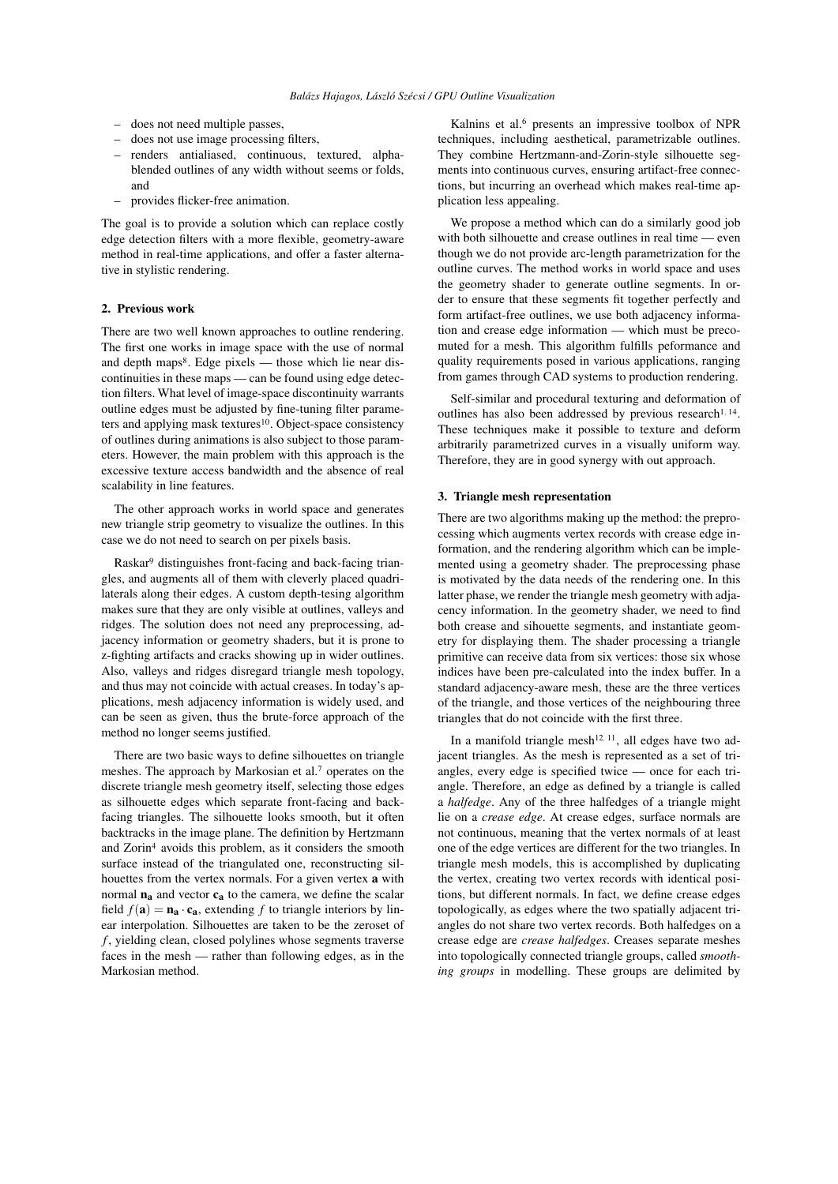- does not need multiple passes,
- does not use image processing filters,
- renders antialiased, continuous, textured, alphablended outlines of any width without seems or folds, and
- provides flicker-free animation.

The goal is to provide a solution which can replace costly edge detection filters with a more flexible, geometry-aware method in real-time applications, and offer a faster alternative in stylistic rendering.

## 2. Previous work

There are two well known approaches to outline rendering. The first one works in image space with the use of normal and depth maps<sup>8</sup>. Edge pixels — those which lie near discontinuities in these maps — can be found using edge detection filters. What level of image-space discontinuity warrants outline edges must be adjusted by fine-tuning filter parameters and applying mask textures<sup>10</sup>. Object-space consistency of outlines during animations is also subject to those parameters. However, the main problem with this approach is the excessive texture access bandwidth and the absence of real scalability in line features.

The other approach works in world space and generates new triangle strip geometry to visualize the outlines. In this case we do not need to search on per pixels basis.

Raskar<sup>9</sup> distinguishes front-facing and back-facing triangles, and augments all of them with cleverly placed quadrilaterals along their edges. A custom depth-tesing algorithm makes sure that they are only visible at outlines, valleys and ridges. The solution does not need any preprocessing, adjacency information or geometry shaders, but it is prone to z-fighting artifacts and cracks showing up in wider outlines. Also, valleys and ridges disregard triangle mesh topology, and thus may not coincide with actual creases. In today's applications, mesh adjacency information is widely used, and can be seen as given, thus the brute-force approach of the method no longer seems justified.

There are two basic ways to define silhouettes on triangle meshes. The approach by Markosian et al.<sup>7</sup> operates on the discrete triangle mesh geometry itself, selecting those edges as silhouette edges which separate front-facing and backfacing triangles. The silhouette looks smooth, but it often backtracks in the image plane. The definition by Hertzmann and Zorin<sup>4</sup> avoids this problem, as it considers the smooth surface instead of the triangulated one, reconstructing silhouettes from the vertex normals. For a given vertex a with normal  $n_a$  and vector  $c_a$  to the camera, we define the scalar field  $f(\mathbf{a}) = \mathbf{n}_{\mathbf{a}} \cdot \mathbf{c}_{\mathbf{a}}$ , extending f to triangle interiors by linear interpolation. Silhouettes are taken to be the zeroset of *f* , yielding clean, closed polylines whose segments traverse faces in the mesh — rather than following edges, as in the Markosian method.

Kalnins et al.<sup>6</sup> presents an impressive toolbox of NPR techniques, including aesthetical, parametrizable outlines. They combine Hertzmann-and-Zorin-style silhouette segments into continuous curves, ensuring artifact-free connections, but incurring an overhead which makes real-time application less appealing.

We propose a method which can do a similarly good job with both silhouette and crease outlines in real time — even though we do not provide arc-length parametrization for the outline curves. The method works in world space and uses the geometry shader to generate outline segments. In order to ensure that these segments fit together perfectly and form artifact-free outlines, we use both adjacency information and crease edge information — which must be precomuted for a mesh. This algorithm fulfills peformance and quality requirements posed in various applications, ranging from games through CAD systems to production rendering.

Self-similar and procedural texturing and deformation of outlines has also been addressed by previous research<sup>1, 14</sup>. These techniques make it possible to texture and deform arbitrarily parametrized curves in a visually uniform way. Therefore, they are in good synergy with out approach.

### 3. Triangle mesh representation

There are two algorithms making up the method: the preprocessing which augments vertex records with crease edge information, and the rendering algorithm which can be implemented using a geometry shader. The preprocessing phase is motivated by the data needs of the rendering one. In this latter phase, we render the triangle mesh geometry with adjacency information. In the geometry shader, we need to find both crease and sihouette segments, and instantiate geometry for displaying them. The shader processing a triangle primitive can receive data from six vertices: those six whose indices have been pre-calculated into the index buffer. In a standard adjacency-aware mesh, these are the three vertices of the triangle, and those vertices of the neighbouring three triangles that do not coincide with the first three.

In a manifold triangle mesh<sup>12, 11</sup>, all edges have two adjacent triangles. As the mesh is represented as a set of triangles, every edge is specified twice — once for each triangle. Therefore, an edge as defined by a triangle is called a *halfedge*. Any of the three halfedges of a triangle might lie on a *crease edge*. At crease edges, surface normals are not continuous, meaning that the vertex normals of at least one of the edge vertices are different for the two triangles. In triangle mesh models, this is accomplished by duplicating the vertex, creating two vertex records with identical positions, but different normals. In fact, we define crease edges topologically, as edges where the two spatially adjacent triangles do not share two vertex records. Both halfedges on a crease edge are *crease halfedges*. Creases separate meshes into topologically connected triangle groups, called *smoothing groups* in modelling. These groups are delimited by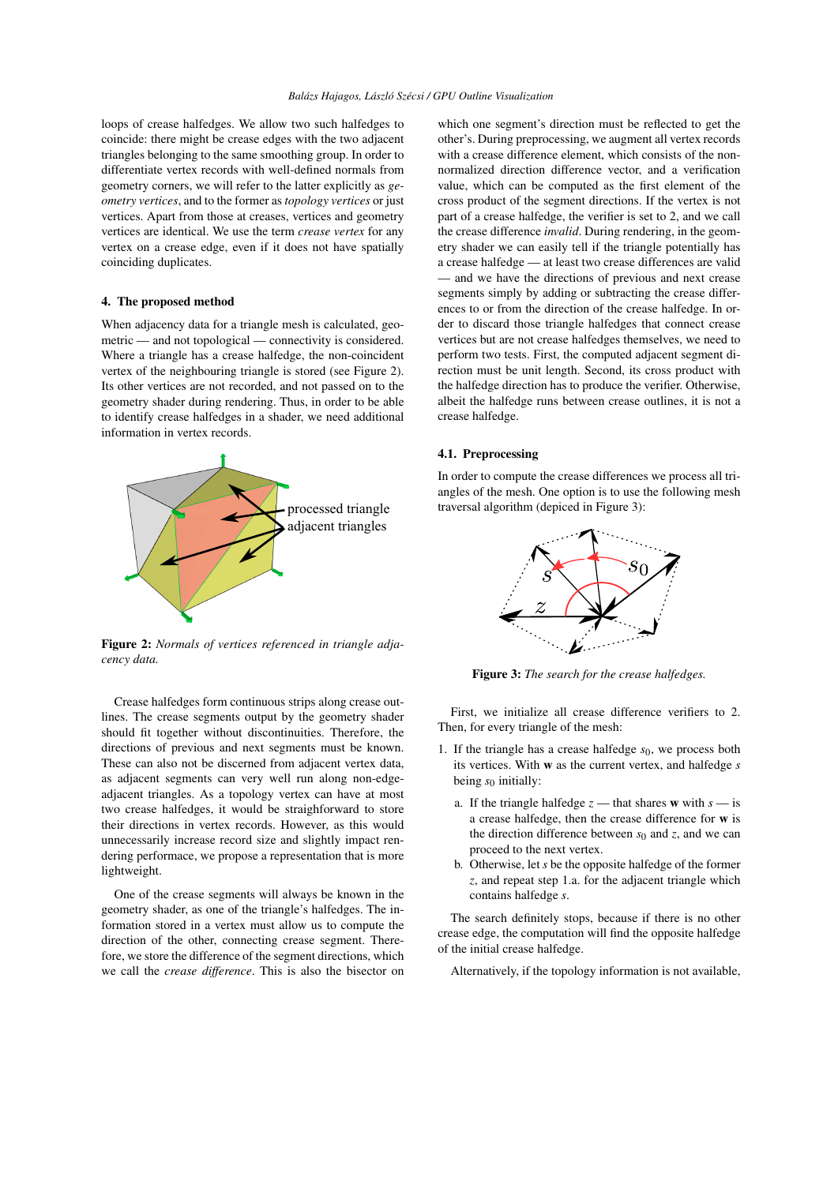loops of crease halfedges. We allow two such halfedges to coincide: there might be crease edges with the two adjacent triangles belonging to the same smoothing group. In order to differentiate vertex records with well-defined normals from geometry corners, we will refer to the latter explicitly as *geometry vertices*, and to the former as *topology vertices* or just vertices. Apart from those at creases, vertices and geometry vertices are identical. We use the term *crease vertex* for any vertex on a crease edge, even if it does not have spatially coinciding duplicates.

# 4. The proposed method

When adjacency data for a triangle mesh is calculated, geometric — and not topological — connectivity is considered. Where a triangle has a crease halfedge, the non-coincident vertex of the neighbouring triangle is stored (see Figure 2). Its other vertices are not recorded, and not passed on to the geometry shader during rendering. Thus, in order to be able to identify crease halfedges in a shader, we need additional information in vertex records.



Figure 2: *Normals of vertices referenced in triangle adjacency data.*

Crease halfedges form continuous strips along crease outlines. The crease segments output by the geometry shader should fit together without discontinuities. Therefore, the directions of previous and next segments must be known. These can also not be discerned from adjacent vertex data, as adjacent segments can very well run along non-edgeadjacent triangles. As a topology vertex can have at most two crease halfedges, it would be straighforward to store their directions in vertex records. However, as this would unnecessarily increase record size and slightly impact rendering performace, we propose a representation that is more lightweight.

One of the crease segments will always be known in the geometry shader, as one of the triangle's halfedges. The information stored in a vertex must allow us to compute the direction of the other, connecting crease segment. Therefore, we store the difference of the segment directions, which we call the *crease difference*. This is also the bisector on

which one segment's direction must be reflected to get the other's. During preprocessing, we augment all vertex records with a crease difference element, which consists of the nonnormalized direction difference vector, and a verification value, which can be computed as the first element of the cross product of the segment directions. If the vertex is not part of a crease halfedge, the verifier is set to 2, and we call the crease difference *invalid*. During rendering, in the geometry shader we can easily tell if the triangle potentially has a crease halfedge — at least two crease differences are valid — and we have the directions of previous and next crease segments simply by adding or subtracting the crease differences to or from the direction of the crease halfedge. In order to discard those triangle halfedges that connect crease vertices but are not crease halfedges themselves, we need to perform two tests. First, the computed adjacent segment direction must be unit length. Second, its cross product with the halfedge direction has to produce the verifier. Otherwise, albeit the halfedge runs between crease outlines, it is not a crease halfedge.

# 4.1. Preprocessing

In order to compute the crease differences we process all triangles of the mesh. One option is to use the following mesh traversal algorithm (depiced in Figure 3):



Figure 3: *The search for the crease halfedges.*

First, we initialize all crease difference verifiers to 2. Then, for every triangle of the mesh:

- 1. If the triangle has a crease halfedge  $s_0$ , we process both its vertices. With w as the current vertex, and halfedge *s* being  $s_0$  initially:
	- a. If the triangle halfedge  $z$  that shares **w** with  $s$  is a crease halfedge, then the crease difference for w is the direction difference between  $s_0$  and  $z$ , and we can proceed to the next vertex.
	- b. Otherwise, let *s* be the opposite halfedge of the former *z*, and repeat step 1.a. for the adjacent triangle which contains halfedge *s*.

The search definitely stops, because if there is no other crease edge, the computation will find the opposite halfedge of the initial crease halfedge.

Alternatively, if the topology information is not available,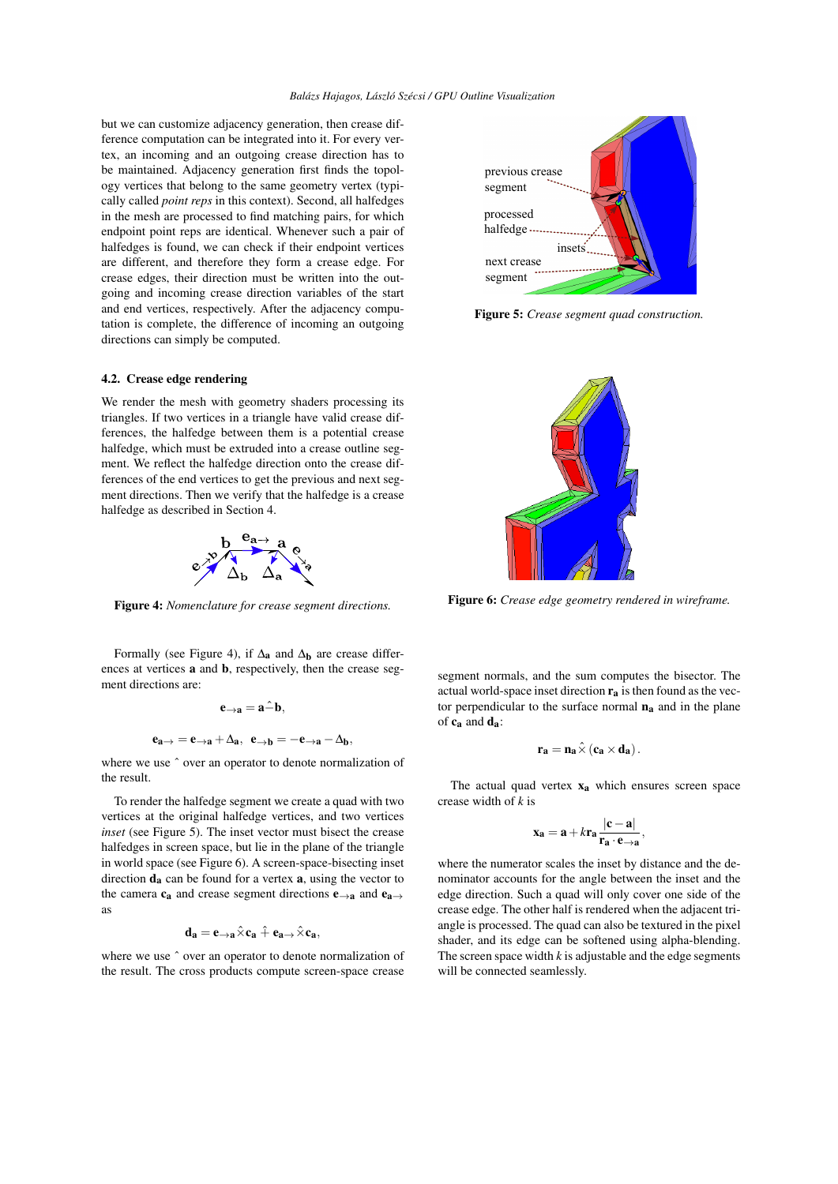but we can customize adjacency generation, then crease difference computation can be integrated into it. For every vertex, an incoming and an outgoing crease direction has to be maintained. Adjacency generation first finds the topology vertices that belong to the same geometry vertex (typically called *point reps* in this context). Second, all halfedges in the mesh are processed to find matching pairs, for which endpoint point reps are identical. Whenever such a pair of halfedges is found, we can check if their endpoint vertices are different, and therefore they form a crease edge. For crease edges, their direction must be written into the outgoing and incoming crease direction variables of the start and end vertices, respectively. After the adjacency computation is complete, the difference of incoming an outgoing directions can simply be computed.

## 4.2. Crease edge rendering

We render the mesh with geometry shaders processing its triangles. If two vertices in a triangle have valid crease differences, the halfedge between them is a potential crease halfedge, which must be extruded into a crease outline segment. We reflect the halfedge direction onto the crease differences of the end vertices to get the previous and next segment directions. Then we verify that the halfedge is a crease halfedge as described in Section 4.



Figure 4: *Nomenclature for crease segment directions.*

Formally (see Figure 4), if  $\Delta$ a and  $\Delta$ <sub>b</sub> are crease differences at vertices a and b, respectively, then the crease segment directions are:

$$
\mathbf{e}_{\rightarrow \mathbf{a}} = \mathbf{a} \hat{-} \mathbf{b},
$$

 $e_{a\rightarrow} = e_{\rightarrow a} + \Delta_a$ ,  $e_{\rightarrow b} = -e_{\rightarrow a} - \Delta_b$ 

where we use  $\hat{ }$  over an operator to denote normalization of the result.

To render the halfedge segment we create a quad with two vertices at the original halfedge vertices, and two vertices *inset* (see Figure 5). The inset vector must bisect the crease halfedges in screen space, but lie in the plane of the triangle in world space (see Figure 6). A screen-space-bisecting inset direction  $d_a$  can be found for a vertex  $a$ , using the vector to the camera c<sup>a</sup> and crease segment directions e*→*<sup>a</sup> and ea*<sup>→</sup>* as

$$
d_a=e_{\rightarrow a}\hat{\times}c_a\mathrel{\hat{+}} e_{a\rightarrow}\hat{\times}c_a,
$$

where we use  $\hat{ }$  over an operator to denote normalization of the result. The cross products compute screen-space crease



Figure 5: *Crease segment quad construction.*



Figure 6: *Crease edge geometry rendered in wireframe.*

segment normals, and the sum computes the bisector. The actual world-space inset direction  $r_a$  is then found as the vector perpendicular to the surface normal  $n_a$  and in the plane of  $c_a$  and  $d_a$ :

$$
r_{a}=n_{a}\hat{\times}(c_{a}\times d_{a}).
$$

The actual quad vertex  $x_a$  which ensures screen space crease width of *k* is

$$
\mathbf{x}_a = \mathbf{a} + k \mathbf{r}_a \frac{|\mathbf{c} - \mathbf{a}|}{\mathbf{r}_a \cdot \mathbf{e}_{\rightarrow a}},
$$

where the numerator scales the inset by distance and the denominator accounts for the angle between the inset and the edge direction. Such a quad will only cover one side of the crease edge. The other half is rendered when the adjacent triangle is processed. The quad can also be textured in the pixel shader, and its edge can be softened using alpha-blending. The screen space width  $k$  is adjustable and the edge segments will be connected seamlessly.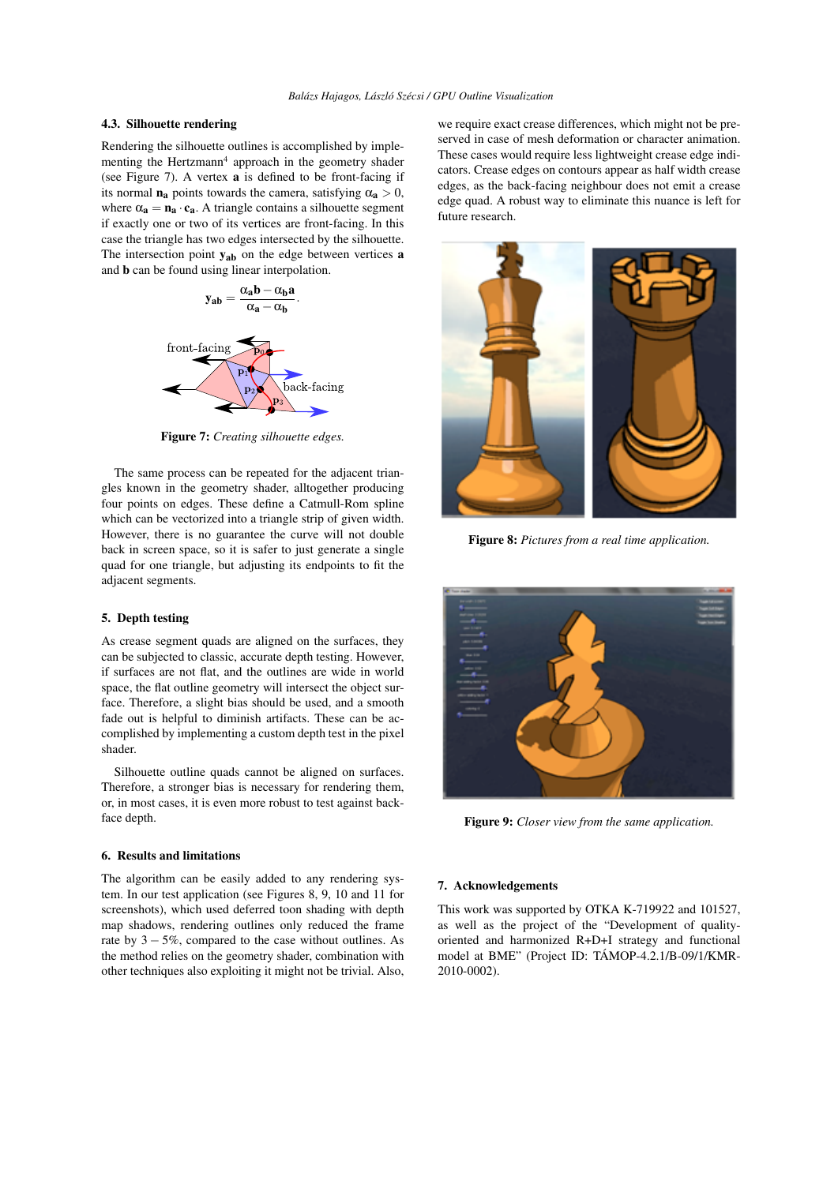# 4.3. Silhouette rendering

Rendering the silhouette outlines is accomplished by implementing the Hertzmann<sup>4</sup> approach in the geometry shader (see Figure 7). A vertex a is defined to be front-facing if its normal **n**<sub>a</sub> points towards the camera, satisfying  $\alpha_a > 0$ , where  $\alpha_a = n_a \cdot c_a$ . A triangle contains a silhouette segment if exactly one or two of its vertices are front-facing. In this case the triangle has two edges intersected by the silhouette. The intersection point  $y_{ab}$  on the edge between vertices a and b can be found using linear interpolation.



Figure 7: *Creating silhouette edges.*

The same process can be repeated for the adjacent triangles known in the geometry shader, alltogether producing four points on edges. These define a Catmull-Rom spline which can be vectorized into a triangle strip of given width. However, there is no guarantee the curve will not double back in screen space, so it is safer to just generate a single quad for one triangle, but adjusting its endpoints to fit the adjacent segments.

#### 5. Depth testing

As crease segment quads are aligned on the surfaces, they can be subjected to classic, accurate depth testing. However, if surfaces are not flat, and the outlines are wide in world space, the flat outline geometry will intersect the object surface. Therefore, a slight bias should be used, and a smooth fade out is helpful to diminish artifacts. These can be accomplished by implementing a custom depth test in the pixel shader.

Silhouette outline quads cannot be aligned on surfaces. Therefore, a stronger bias is necessary for rendering them, or, in most cases, it is even more robust to test against backface depth.

## 6. Results and limitations

The algorithm can be easily added to any rendering system. In our test application (see Figures 8, 9, 10 and 11 for screenshots), which used deferred toon shading with depth map shadows, rendering outlines only reduced the frame rate by 3 *−* 5%, compared to the case without outlines. As the method relies on the geometry shader, combination with other techniques also exploiting it might not be trivial. Also, we require exact crease differences, which might not be preserved in case of mesh deformation or character animation. These cases would require less lightweight crease edge indicators. Crease edges on contours appear as half width crease edges, as the back-facing neighbour does not emit a crease edge quad. A robust way to eliminate this nuance is left for future research.



Figure 8: *Pictures from a real time application.*



Figure 9: *Closer view from the same application.*

# 7. Acknowledgements

This work was supported by OTKA K-719922 and 101527, as well as the project of the "Development of qualityoriented and harmonized R+D+I strategy and functional model at BME" (Project ID: TÁMOP-4.2.1/B-09/1/KMR-2010-0002).